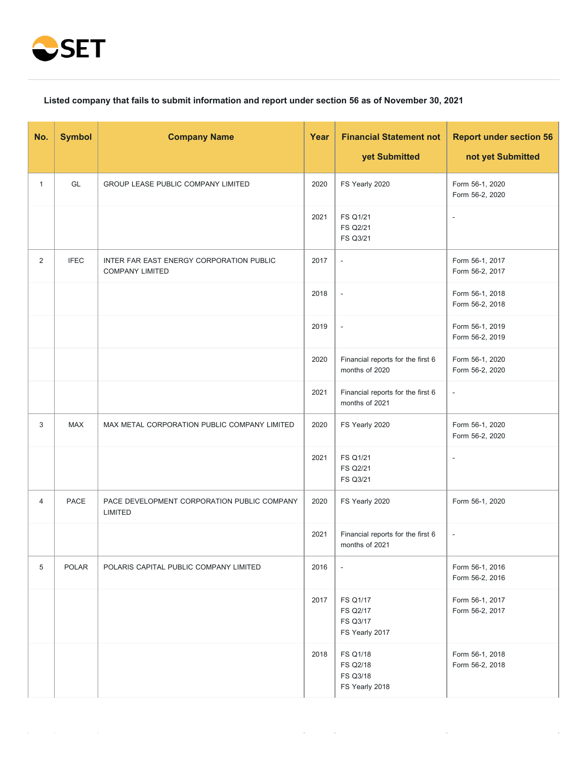

## **Listed company that fails to submit information and report under section 56 as of November 30, 2021**

| No.          | <b>Symbol</b> | <b>Company Name</b>                                                | Year | <b>Financial Statement not</b><br>yet Submitted     | <b>Report under section 56</b><br>not yet Submitted |
|--------------|---------------|--------------------------------------------------------------------|------|-----------------------------------------------------|-----------------------------------------------------|
| $\mathbf{1}$ | GL            | GROUP LEASE PUBLIC COMPANY LIMITED                                 | 2020 | FS Yearly 2020                                      | Form 56-1, 2020<br>Form 56-2, 2020                  |
|              |               |                                                                    | 2021 | FS Q1/21<br>FS Q2/21<br>FS Q3/21                    | $\overline{\phantom{a}}$                            |
| 2            | <b>IFEC</b>   | INTER FAR EAST ENERGY CORPORATION PUBLIC<br><b>COMPANY LIMITED</b> | 2017 | $\blacksquare$                                      | Form 56-1, 2017<br>Form 56-2, 2017                  |
|              |               |                                                                    | 2018 | $\Box$                                              | Form 56-1, 2018<br>Form 56-2, 2018                  |
|              |               |                                                                    | 2019 | $\overline{\phantom{a}}$                            | Form 56-1, 2019<br>Form 56-2, 2019                  |
|              |               |                                                                    | 2020 | Financial reports for the first 6<br>months of 2020 | Form 56-1, 2020<br>Form 56-2, 2020                  |
|              |               |                                                                    | 2021 | Financial reports for the first 6<br>months of 2021 | $\overline{\phantom{a}}$                            |
| 3            | <b>MAX</b>    | MAX METAL CORPORATION PUBLIC COMPANY LIMITED                       | 2020 | FS Yearly 2020                                      | Form 56-1, 2020<br>Form 56-2, 2020                  |
|              |               |                                                                    | 2021 | FS Q1/21<br>FS Q2/21<br><b>FS Q3/21</b>             | $\blacksquare$                                      |
| 4            | PACE          | PACE DEVELOPMENT CORPORATION PUBLIC COMPANY<br>LIMITED             | 2020 | FS Yearly 2020                                      | Form 56-1, 2020                                     |
|              |               |                                                                    | 2021 | Financial reports for the first 6<br>months of 2021 | $\blacksquare$                                      |
| 5            | <b>POLAR</b>  | POLARIS CAPITAL PUBLIC COMPANY LIMITED                             | 2016 | $\overline{\phantom{a}}$                            | Form 56-1, 2016<br>Form 56-2, 2016                  |
|              |               |                                                                    | 2017 | FS Q1/17<br>FS Q2/17<br>FS Q3/17<br>FS Yearly 2017  | Form 56-1, 2017<br>Form 56-2, 2017                  |
|              |               |                                                                    | 2018 | FS Q1/18<br>FS Q2/18<br>FS Q3/18<br>FS Yearly 2018  | Form 56-1, 2018<br>Form 56-2, 2018                  |

 $\mathcal{L}^{\text{max}}$ 

 $\sim$   $\sim$ 

J.